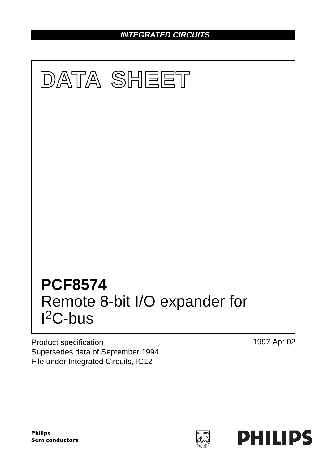**INTEGRATED CIRCUITS**



Product specification Supersedes data of September 1994 File under Integrated Circuits, IC12

1997 Apr 02

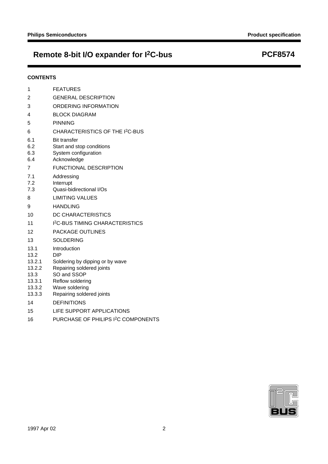# **Remote 8-bit I/O expander for I2C-bus PCF8574**

## **CONTENTS**

| 1                                                                      | <b>FEATURES</b>                                                                                                                                                              |
|------------------------------------------------------------------------|------------------------------------------------------------------------------------------------------------------------------------------------------------------------------|
| 2                                                                      | <b>GENERAL DESCRIPTION</b>                                                                                                                                                   |
| 3                                                                      | ORDERING INFORMATION                                                                                                                                                         |
| 4                                                                      | <b>BLOCK DIAGRAM</b>                                                                                                                                                         |
| 5                                                                      | <b>PINNING</b>                                                                                                                                                               |
| 6                                                                      | CHARACTERISTICS OF THE I <sup>2</sup> C-BUS                                                                                                                                  |
| 6.1<br>6.2<br>6.3<br>6.4                                               | <b>Bit transfer</b><br>Start and stop conditions<br>System configuration<br>Acknowledge                                                                                      |
| 7                                                                      | <b>FUNCTIONAL DESCRIPTION</b>                                                                                                                                                |
| 7.1<br>7.2<br>7.3                                                      | Addressing<br>Interrupt<br>Quasi-bidirectional I/Os                                                                                                                          |
| 8                                                                      | <b>LIMITING VALUES</b>                                                                                                                                                       |
| 9                                                                      | <b>HANDLING</b>                                                                                                                                                              |
| 10                                                                     | DC CHARACTERISTICS                                                                                                                                                           |
| 11                                                                     | <b>I<sup>2</sup>C-BUS TIMING CHARACTERISTICS</b>                                                                                                                             |
| 12                                                                     | PACKAGE OUTLINES                                                                                                                                                             |
| 13                                                                     | <b>SOLDERING</b>                                                                                                                                                             |
| 13.1<br>13.2<br>13.2.1<br>13.2.2<br>13.3<br>13.3.1<br>13.3.2<br>13.3.3 | Introduction<br><b>DIP</b><br>Soldering by dipping or by wave<br>Repairing soldered joints<br>SO and SSOP<br>Reflow soldering<br>Wave soldering<br>Repairing soldered joints |
| 14                                                                     | <b>DEFINITIONS</b>                                                                                                                                                           |
| 15                                                                     | LIFE SUPPORT APPLICATIONS                                                                                                                                                    |

16 PURCHASE OF PHILIPS I<sup>2</sup>C COMPONENTS

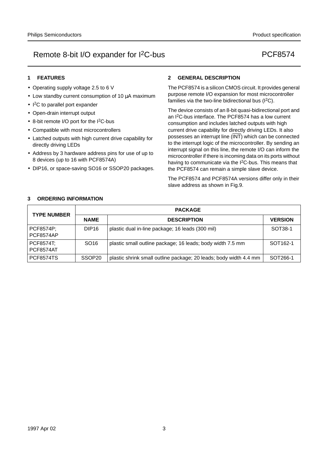## **1 FEATURES**

- Operating supply voltage 2.5 to 6 V
- Low standby current consumption of 10 µA maximum
- I 2C to parallel port expander
- Open-drain interrupt output
- 8-bit remote I/O port for the I<sup>2</sup>C-bus
- Compatible with most microcontrollers
- Latched outputs with high current drive capability for directly driving LEDs
- Address by 3 hardware address pins for use of up to 8 devices (up to 16 with PCF8574A)
- DIP16, or space-saving SO16 or SSOP20 packages.

## **2 GENERAL DESCRIPTION**

The PCF8574 is a silicon CMOS circuit. It provides general purpose remote I/O expansion for most microcontroller families via the two-line bidirectional bus (I2C).

The device consists of an 8-bit quasi-bidirectional port and an I2C-bus interface. The PCF8574 has a low current consumption and includes latched outputs with high current drive capability for directly driving LEDs. It also possesses an interrupt line  $(\overline{\mathsf{INT}})$  which can be connected to the interrupt logic of the microcontroller. By sending an interrupt signal on this line, the remote I/O can inform the microcontroller if there is incoming data on its ports without having to communicate via the I2C-bus. This means that the PCF8574 can remain a simple slave device.

The PCF8574 and PCF8574A versions differ only in their slave address as shown in Fig.9.

## **3 ORDERING INFORMATION**

| <b>TYPE NUMBER</b>                   |                    | <b>PACKAGE</b>                                                    |                      |  |  |  |  |
|--------------------------------------|--------------------|-------------------------------------------------------------------|----------------------|--|--|--|--|
|                                      | <b>NAME</b>        | <b>DESCRIPTION</b>                                                | <b>VERSION</b>       |  |  |  |  |
| <b>PCF8574P:</b><br><b>PCF8574AP</b> | DIP <sub>16</sub>  | plastic dual in-line package; 16 leads (300 mil)                  | SOT38-1              |  |  |  |  |
| <b>PCF8574T:</b><br><b>PCF8574AT</b> | SO <sub>16</sub>   | plastic small outline package; 16 leads; body width 7.5 mm        | SOT <sub>162-1</sub> |  |  |  |  |
| <b>PCF8574TS</b>                     | SSOP <sub>20</sub> | plastic shrink small outline package; 20 leads; body width 4.4 mm | SOT266-1             |  |  |  |  |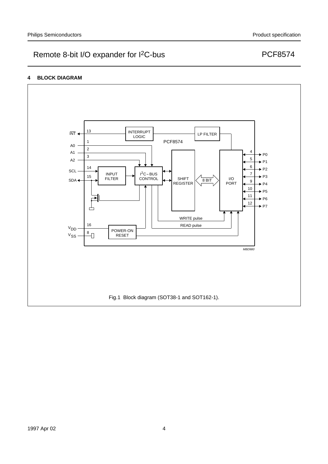## **4 BLOCK DIAGRAM**

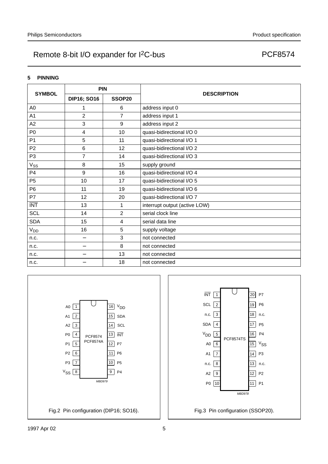## **5 PINNING**

| <b>SYMBOL</b>   | PIN                |                |                               |
|-----------------|--------------------|----------------|-------------------------------|
|                 | <b>DIP16; SO16</b> | SSOP20         | <b>DESCRIPTION</b>            |
| A <sub>0</sub>  | 1                  | 6              | address input 0               |
| A <sub>1</sub>  | $\overline{2}$     | $\overline{7}$ | address input 1               |
| A2              | 3                  | 9              | address input 2               |
| P <sub>0</sub>  | 4                  | 10             | quasi-bidirectional I/O 0     |
| P <sub>1</sub>  | 5                  | 11             | quasi-bidirectional I/O 1     |
| P <sub>2</sub>  | 6                  | 12             | quasi-bidirectional I/O 2     |
| P <sub>3</sub>  | $\overline{7}$     | 14             | quasi-bidirectional I/O 3     |
| V <sub>SS</sub> | 8                  | 15             | supply ground                 |
| P <sub>4</sub>  | 9                  | 16             | quasi-bidirectional I/O 4     |
| P <sub>5</sub>  | 10                 | 17             | quasi-bidirectional I/O 5     |
| P <sub>6</sub>  | 11                 | 19             | quasi-bidirectional I/O 6     |
| P7              | 12                 | 20             | quasi-bidirectional I/O 7     |
| <b>INT</b>      | 13                 | 1              | interrupt output (active LOW) |
| <b>SCL</b>      | 14                 | $\overline{2}$ | serial clock line             |
| <b>SDA</b>      | 15                 | 4              | serial data line              |
| V <sub>DD</sub> | 16                 | 5              | supply voltage                |
| n.c.            | —                  | 3              | not connected                 |
| n.c.            |                    | 8              | not connected                 |
| n.c.            | —                  | 13             | not connected                 |
| n.c.            |                    | 18             | not connected                 |



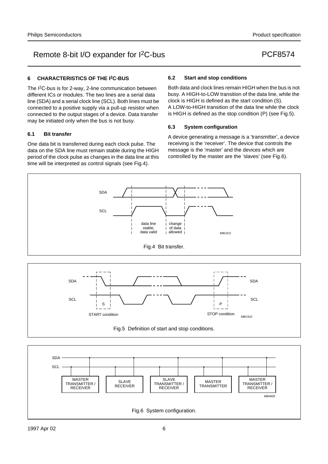## **6 CHARACTERISTICS OF THE I2C-BUS**

SCL

S

The I2C-bus is for 2-way, 2-line communication between different ICs or modules. The two lines are a serial data line (SDA) and a serial clock line (SCL). Both lines must be connected to a positive supply via a pull-up resistor when connected to the output stages of a device. Data transfer may be initiated only when the bus is not busy.

## **6.1 Bit transfer**

One data bit is transferred during each clock pulse. The data on the SDA line must remain stable during the HIGH period of the clock pulse as changes in the data line at this time will be interpreted as control signals (see Fig.4).

## **6.2 Start and stop conditions**

Both data and clock lines remain HIGH when the bus is not busy. A HIGH-to-LOW transition of the data line, while the clock is HIGH is defined as the start condition (S). A LOW-to-HIGH transition of the data line while the clock is HIGH is defined as the stop condition (P) (see Fig.5).

## **6.3 System configuration**

A device generating a message is a 'transmitter', a device receiving is the 'receiver'. The device that controls the message is the 'master' and the devices which are controlled by the master are the 'slaves' (see Fig.6).

P

SCL



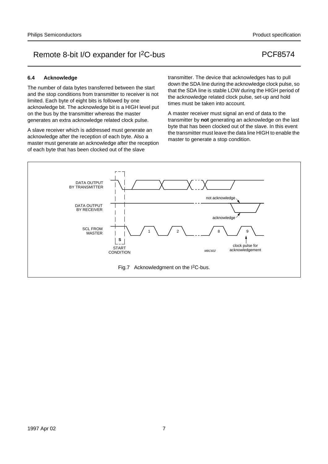## **6.4 Acknowledge**

The number of data bytes transferred between the start and the stop conditions from transmitter to receiver is not limited. Each byte of eight bits is followed by one acknowledge bit. The acknowledge bit is a HIGH level put on the bus by the transmitter whereas the master generates an extra acknowledge related clock pulse.

A slave receiver which is addressed must generate an acknowledge after the reception of each byte. Also a master must generate an acknowledge after the reception of each byte that has been clocked out of the slave

transmitter. The device that acknowledges has to pull down the SDA line during the acknowledge clock pulse, so that the SDA line is stable LOW during the HIGH period of the acknowledge related clock pulse, set-up and hold times must be taken into account.

A master receiver must signal an end of data to the transmitter by **not** generating an acknowledge on the last byte that has been clocked out of the slave. In this event the transmitter must leave the data line HIGH to enable the master to generate a stop condition.

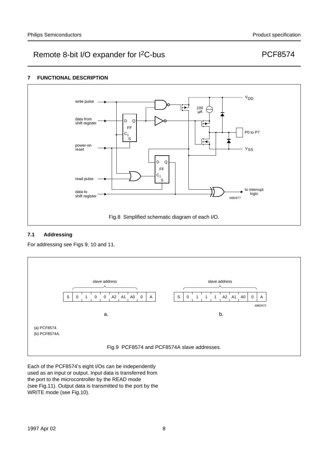## **7 FUNCTIONAL DESCRIPTION**



## **7.1 Addressing**

For addressing see Figs 9, 10 and 11.



Each of the PCF8574's eight I/Os can be independently used as an input or output. Input data is transferred from the port to the microcontroller by the READ mode (see Fig.11). Output data is transmitted to the port by the WRITE mode (see Fig.10).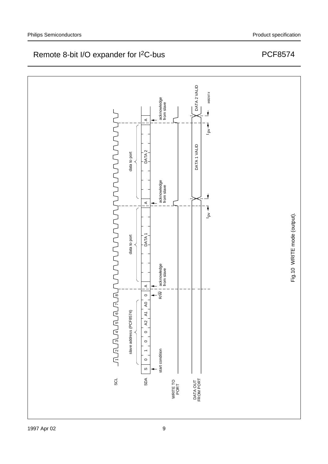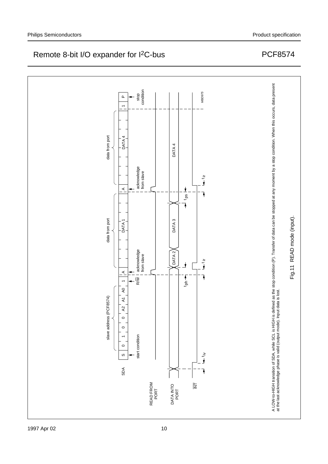

MBD975

# Remote 8-bit I/O expander for I<sup>2</sup>C-bus

stop condition

**Q** 

 $\overline{a}$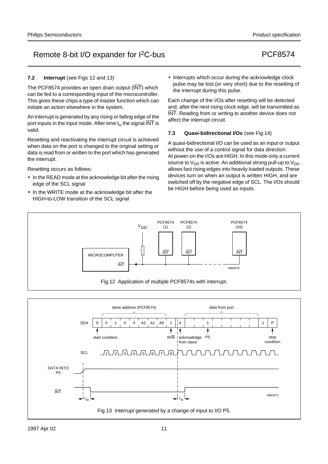## **7.2 Interrupt** (see Figs 12 and 13)

The PCF8574 provides an open drain output (INT) which can be fed to a corresponding input of the microcontroller. This gives these chips a type of master function which can initiate an action elsewhere in the system.

An interrupt is generated by any rising or falling edge of the port inputs in the input mode. After time  $t_{iv}$  the signal  $\overline{\text{INT}}$  is valid.

Resetting and reactivating the interrupt circuit is achieved when data on the port is changed to the original setting or data is read from or written to the port which has generated the interrupt.

Resetting occurs as follows:

- In the READ mode at the acknowledge bit after the rising edge of the SCL signal
- In the WRITE mode at the acknowledge bit after the HIGH-to-LOW transition of the SCL signal

• Interrupts which occur during the acknowledge clock pulse may be lost (or very short) due to the resetting of the interrupt during this pulse.

Each change of the I/Os after resetting will be detected and, after the next rising clock edge, will be transmitted as INT. Reading from or writing to another device does not affect the interrupt circuit.

## **7.3 Quasi-bidirectional I/Os** (see Fig.14)

A quasi-bidirectional I/O can be used as an input or output without the use of a control signal for data direction. At power-on the I/Os are HIGH. In this mode only a current source to  $V_{DD}$  is active. An additional strong pull-up to  $V_{DD}$ allows fast rising edges into heavily loaded outputs. These devices turn on when an output is written HIGH, and are switched off by the negative edge of SCL. The I/Os should be HIGH before being used as inputs.



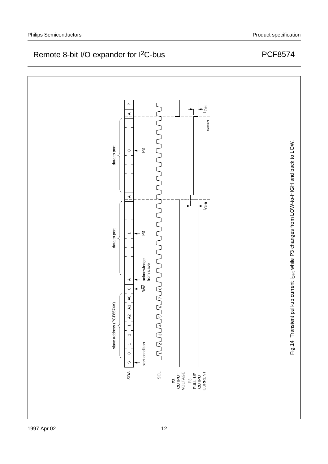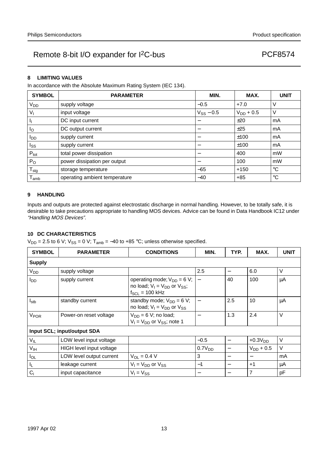## **8 LIMITING VALUES**

In accordance with the Absolute Maximum Rating System (IEC 134).

| <b>SYMBOL</b>               | <b>PARAMETER</b>              | MIN.                             | MAX.           | <b>UNIT</b> |
|-----------------------------|-------------------------------|----------------------------------|----------------|-------------|
| V <sub>DD</sub>             | supply voltage                | $-0.5$                           | $+7.0$         | V           |
| Vı                          | input voltage                 | $V_{SS}$ – 0.5                   | $V_{DD}$ + 0.5 | V           |
| Ч                           | DC input current              |                                  | ±20            | mA          |
| Ιo                          | DC output current             |                                  | ±25            | mA          |
| <b>I</b> DD                 | supply current                | $\overbrace{\phantom{12322111}}$ | ±100           | mA          |
| Iss                         | supply current                |                                  | ±100           | mA          |
| $P_{\text{tot}}$            | total power dissipation       |                                  | 400            | mW          |
| $P_{O}$                     | power dissipation per output  | $\overline{\phantom{m}}$         | 100            | mW          |
| $T_{\text{stg}}$            | storage temperature           | $-65$                            | $+150$         | $^{\circ}C$ |
| $\mathsf{T}_{\mathsf{amb}}$ | operating ambient temperature | $-40$                            | $+85$          | $^{\circ}C$ |

## **9 HANDLING**

Inputs and outputs are protected against electrostatic discharge in normal handling. However, to be totally safe, it is desirable to take precautions appropriate to handling MOS devices. Advice can be found in Data Handbook IC12 under "Handling MOS Devices".

## **10 DC CHARACTERISTICS**

 $V_{DD} = 2.5$  to 6 V;  $V_{SS} = 0$  V; T<sub>amb</sub> = -40 to +85 °C; unless otherwise specified.

| <b>SYMBOL</b>          | <b>PARAMETER</b>            | <b>CONDITIONS</b>                                                                                | MIN.                     | TYP. | MAX.           | <b>UNIT</b> |
|------------------------|-----------------------------|--------------------------------------------------------------------------------------------------|--------------------------|------|----------------|-------------|
| <b>Supply</b>          |                             |                                                                                                  |                          |      |                |             |
| <b>V<sub>DD</sub></b>  | supply voltage              |                                                                                                  | 2.5                      | —    | 6.0            | $\vee$      |
| l <sub>DD</sub>        | supply current              | operating mode; $V_{DD} = 6 V$ ;<br>no load; $V_1 = V_{DD}$ or $V_{SS}$ ;<br>$f_{SCL}$ = 100 kHz |                          | 40   | 100            | μA          |
| $I_{\text{stb}}$       | standby current             | standby mode; $V_{DD} = 6 V$ ;<br>no load; $V_1 = V_{DD}$ or $V_{SS}$                            |                          | 2.5  | 10             | μA          |
| <b>V<sub>POR</sub></b> | Power-on reset voltage      | $V_{DD} = 6 V$ ; no load;<br>$V_1 = V_{DD}$ or $V_{SS}$ ; note 1                                 |                          | 1.3  | 2.4            | V           |
|                        | Input SCL; input/output SDA |                                                                                                  |                          |      |                |             |
| $V_{IL}$               | LOW level input voltage     |                                                                                                  | $-0.5$                   |      | $+0.3VDD$      | V           |
| $V_{\text{IH}}$        | HIGH level input voltage    |                                                                                                  | 0.7V <sub>DD</sub>       |      | $V_{DD}$ + 0.5 | $\vee$      |
| $I_{OL}$               | LOW level output current    | $V_{OL} = 0.4 V$                                                                                 | 3                        |      |                | mA          |
| IL.                    | leakage current             | $V_1 = V_{DD}$ or $V_{SS}$                                                                       | $-1$                     | —    | $+1$           | μA          |
| $C_i$                  | input capacitance           | $V_1 = V_{SS}$                                                                                   | $\overline{\phantom{m}}$ |      | 7              | pF          |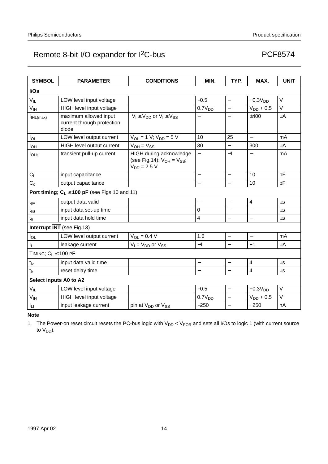| <b>SYMBOL</b>             | <b>PARAMETER</b>                                             | <b>CONDITIONS</b>                                                                | MIN.                     | TYP.                     | MAX.                     | <b>UNIT</b> |  |
|---------------------------|--------------------------------------------------------------|----------------------------------------------------------------------------------|--------------------------|--------------------------|--------------------------|-------------|--|
| I/Os                      |                                                              |                                                                                  |                          |                          |                          |             |  |
| $V_{IL}$                  | LOW level input voltage                                      |                                                                                  | $-0.5$                   | $\overline{\phantom{0}}$ | $+0.3VDD$                | $\vee$      |  |
| $V_{\text{IH}}$           | HIGH level input voltage                                     |                                                                                  | 0.7V <sub>DD</sub>       | $\equiv$                 | $V_{DD}$ + 0.5           | $\vee$      |  |
| $I_{IHL(max)}$            | maximum allowed input<br>current through protection<br>diode | $V_1 \geq V_{DD}$ or $V_1 \leq V_{SS}$                                           |                          | $\overline{\phantom{0}}$ | ±400                     | μA          |  |
| $I_{OL}$                  | LOW level output current                                     | $V_{OL} = 1 V$ ; $V_{DD} = 5 V$                                                  | 10                       | 25                       | $\overline{\phantom{0}}$ | mA          |  |
| Іон                       | HIGH level output current                                    | $V_{OH} = V_{SS}$                                                                | 30                       |                          | 300                      | $\mu$ A     |  |
| $I_{\text{OH}}$           | transient pull-up current                                    | HIGH during acknowledge<br>(see Fig.14); $V_{OH} = V_{SS}$ ;<br>$V_{DD} = 2.5 V$ |                          | $-1$                     |                          | mA          |  |
| $\mathsf{C}_\mathsf{i}$   | input capacitance                                            |                                                                                  | $\overline{\phantom{0}}$ | $\qquad \qquad -$        | 10                       | pF          |  |
| C <sub>o</sub>            | output capacitance                                           |                                                                                  |                          | $\overline{\phantom{0}}$ | 10                       | pF          |  |
|                           | Port timing; $C_L \le 100$ pF (see Figs 10 and 11)           |                                                                                  |                          |                          |                          |             |  |
| $t_{pv}$                  | output data valid                                            |                                                                                  |                          | $\qquad \qquad -$        | 4                        | μs          |  |
| $t_{\rm su}$              | input data set-up time                                       |                                                                                  | $\mathbf 0$              | $\qquad \qquad -$        | $\overline{\phantom{0}}$ | μs          |  |
| $t_h$                     | input data hold time                                         |                                                                                  | $\overline{4}$           | $\equiv$                 | $\overline{a}$           | $\mu s$     |  |
|                           | Interrupt $\overline{\text{INT}}$ (see Fig.13)               |                                                                                  |                          |                          |                          |             |  |
| $I_{OL}$                  | LOW level output current                                     | $V_{OL} = 0.4 V$                                                                 | 1.6                      | $\overline{\phantom{0}}$ | $\equiv$                 | mA          |  |
| $\mathsf{I}_\mathsf{L}$   | leakage current                                              | $V_1 = V_{DD}$ or $V_{SS}$                                                       | $-1$                     | $\overline{\phantom{0}}$ | $+1$                     | μA          |  |
| TIMING; $C_1 \leq 100$ PF |                                                              |                                                                                  |                          |                          |                          |             |  |
| $t_{iv}$                  | input data valid time                                        |                                                                                  |                          | $\qquad \qquad -$        | 4                        | $\mu$ s     |  |
| $t_{ir}$                  | reset delay time                                             |                                                                                  | $\overline{\phantom{0}}$ | $\equiv$                 | $\overline{\mathbf{4}}$  | μs          |  |
| Select inputs A0 to A2    |                                                              |                                                                                  |                          |                          |                          |             |  |
| $V_{IL}$                  | LOW level input voltage                                      |                                                                                  | $-0.5$                   | $\qquad \qquad -$        | $+0.3VDD$                | $\vee$      |  |
| V <sub>IH</sub>           | HIGH level input voltage                                     |                                                                                  | 0.7V <sub>DD</sub>       | $\overline{\phantom{0}}$ | $V_{DD} + 0.5$           | $\vee$      |  |
| Iц                        | input leakage current                                        | pin at V <sub>DD</sub> or V <sub>SS</sub>                                        | $-250$                   | $\overline{\phantom{0}}$ | $+250$                   | nA          |  |

**Note**

1. The Power-on reset circuit resets the I<sup>2</sup>C-bus logic with  $V_{DD}$  <  $V_{POR}$  and sets all I/Os to logic 1 (with current source to V<sub>DD</sub>).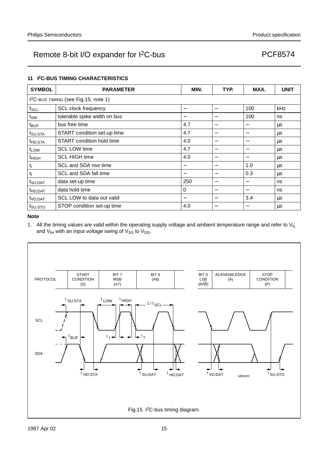## **11 I2C-BUS TIMING CHARACTERISTICS**

| <b>SYMBOL</b>       | <b>PARAMETER</b>                                 | MIN. | TYP.                     | MAX.                     | <b>UNIT</b> |
|---------------------|--------------------------------------------------|------|--------------------------|--------------------------|-------------|
|                     | I <sup>2</sup> C-BUS TIMING (see Fig.15; note 1) |      |                          |                          |             |
| $f_{SCL}$           | <b>SCL clock frequency</b>                       |      |                          | 100                      | kHz         |
| tsw                 | tolerable spike width on bus                     |      | $\overline{\phantom{0}}$ | 100                      | ns          |
| $t_{\text{BUF}}$    | bus free time                                    | 4.7  | $\overline{\phantom{0}}$ | $\qquad \qquad$          | $\mu s$     |
| t <sub>SU;STA</sub> | START condition set-up time                      | 4.7  |                          | $\overline{\phantom{0}}$ | μs          |
| t <sub>HD;STA</sub> | START condition hold time                        | 4.0  | -                        |                          | μs          |
| $t_{LOW}$           | <b>SCL LOW time</b>                              | 4.7  |                          | $\overline{\phantom{0}}$ | μs          |
| <sup>t</sup> HIGH   | <b>SCL HIGH time</b>                             | 4.0  | $\overline{\phantom{0}}$ | —                        | μs          |
| $t_{\rm r}$         | SCL and SDA rise time                            |      | $\overline{\phantom{0}}$ | 1.0                      | μs          |
| $t_f$               | SCL and SDA fall time                            |      |                          | 0.3                      | μs          |
| t <sub>SU;DAT</sub> | data set-up time                                 | 250  | -                        | —                        | ns          |
| t <sub>HD;DAT</sub> | data hold time                                   | 0    |                          | $\overline{\phantom{0}}$ | ns          |
| t <sub>VD;DAT</sub> | SCL LOW to data out valid                        |      |                          | 3.4                      | μs          |
| tsu:sto             | STOP condition set-up time                       | 4.0  |                          |                          | μs          |

### **Note**

1. All the timing values are valid within the operating supply voltage and ambient temperature range and refer to  $V_{I L}$ and  $V_{IH}$  with an input voltage swing of  $V_{SS}$  to  $V_{DD}$ .

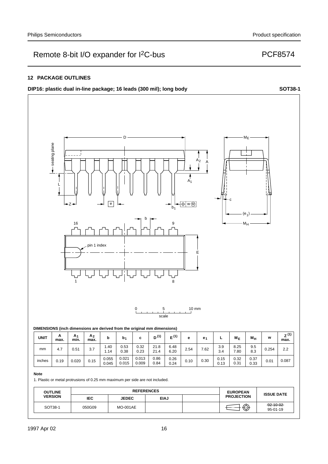## **12 PACKAGE OUTLINES**

## **DIP16:** plastic dual in-line package; 16 leads (300 mil); long body **SOT38-1**



## **Note**

1. Plastic or metal protrusions of 0.25 mm maximum per side are not included.

| <b>OUTLINE</b> | <b>REFERENCES</b><br><b>EUROPEAN</b> |                 |             |  | <b>ISSUE DATE</b> |                             |
|----------------|--------------------------------------|-----------------|-------------|--|-------------------|-----------------------------|
| <b>VERSION</b> | <b>IEC</b>                           | <b>JEDEC</b>    | <b>EIAJ</b> |  | <b>PROJECTION</b> |                             |
| SOT38-1        | 050G09                               | <b>MO-001AE</b> |             |  | ⋒<br>ىند          | $-92 - 10 - 02$<br>95-01-19 |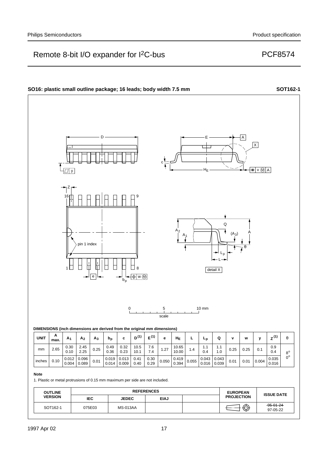### **SO16: plastic small outline package; 16 leads; body width 7.5 mm <b>SOT162-1 SOT162-1** D E A  $\overline{\mathsf{x}}$ c  $\overline{U|V}$  $=$   $\sqrt{M}$  A HE Z 16 9 Q  $A_2$ A  $(A_3)$  $A<sub>1</sub>$ pin 1 index θ Lp L detail X 1 8  $\begin{array}{c|c} | & -\end{array}$ e 0 5 10 mm scale **DIMENSIONS (inch dimensions are derived from the original mm dimensions)**  $UNIT$   $\begin{array}{c} A \\ max \end{array}$ **max. A1 A2 A3 bp c D(1) <sup>E</sup>(1) (1) e HE L Lp <sup>Q</sup> <sup>v</sup> <sup>w</sup> <sup>y</sup> <sup>Z</sup>** <sup>θ</sup> 2.65  $\Big| \begin{array}{c} 0.30 \\ 0.12 \end{array} \Big|$ 2.45 0.49 0.32 7.6 0.9 10.5 7.4 1.27 10.65 10.00 1.1 1.1 mm 0.25 0.25  $0.25$  0.1 1.4 0.10 2.25 0.36 0.23 10.1 0.4 1.0  $0.4$  $8^{\rm o}$  $0^{\circ}$  $0.10 \big| 0.012$ 0.096 0.019 0.013 0.41  $0.30$ <br> $0.29$  $0.419 \Big| 0.055$  $\begin{array}{|c|c|c|c|c|c|c|c|} \hline 0.043 & 0.043 & 0.01 & 0.004 \ \hline 0.016 & 0.039 & 0.01 & 0.01 & \hline \end{array}$ 0.043 0.035 inches  $0.050$  $0.01$  0.004 0.016 0.016 0.01 0.004 0.089 0.014 0.009 0.40 0.394 0.039 **Note** 1. Plastic or metal protrusions of 0.15 mm maximum per side are not included. **OUTLINE** REFERENCES **EUROPEAN PROJECTION ISSUE DATE VERSION IEC JEDEC EIAJ** 95-01-24 SOT162-1 075E03 MS-013AA  $\bigoplus \bigoplus$ 97-05-22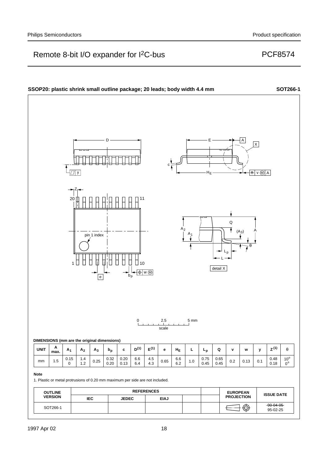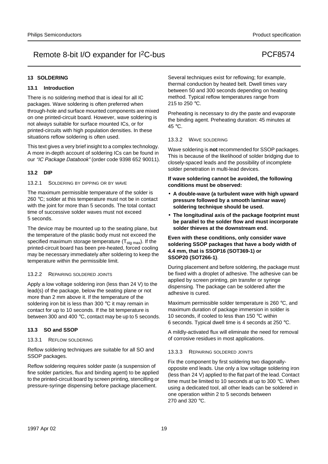## **13 SOLDERING**

## **13.1 Introduction**

There is no soldering method that is ideal for all IC packages. Wave soldering is often preferred when through-hole and surface mounted components are mixed on one printed-circuit board. However, wave soldering is not always suitable for surface mounted ICs, or for printed-circuits with high population densities. In these situations reflow soldering is often used.

This text gives a very brief insight to a complex technology. A more in-depth account of soldering ICs can be found in our "IC Package Databook" (order code 9398 652 90011).

## **13.2 DIP**

13.2.1 SOLDERING BY DIPPING OR BY WAVE

The maximum permissible temperature of the solder is 260 °C; solder at this temperature must not be in contact with the joint for more than 5 seconds. The total contact time of successive solder waves must not exceed 5 seconds.

The device may be mounted up to the seating plane, but the temperature of the plastic body must not exceed the specified maximum storage temperature  $(T_{\text{stg max}})$ . If the printed-circuit board has been pre-heated, forced cooling may be necessary immediately after soldering to keep the temperature within the permissible limit.

### 13.2.2 REPAIRING SOLDERED JOINTS

Apply a low voltage soldering iron (less than 24 V) to the lead(s) of the package, below the seating plane or not more than 2 mm above it. If the temperature of the soldering iron bit is less than 300 °C it may remain in contact for up to 10 seconds. If the bit temperature is between 300 and 400 °C, contact may be up to 5 seconds.

### **13.3 SO and SSOP**

### 13.3.1 REFLOW SOLDERING

Reflow soldering techniques are suitable for all SO and SSOP packages.

Reflow soldering requires solder paste (a suspension of fine solder particles, flux and binding agent) to be applied to the printed-circuit board by screen printing, stencilling or pressure-syringe dispensing before package placement.

Several techniques exist for reflowing; for example, thermal conduction by heated belt. Dwell times vary between 50 and 300 seconds depending on heating method. Typical reflow temperatures range from 215 to 250 °C.

Preheating is necessary to dry the paste and evaporate the binding agent. Preheating duration: 45 minutes at 45 °C.

### 13.3.2 WAVE SOLDERING

Wave soldering is **not** recommended for SSOP packages. This is because of the likelihood of solder bridging due to closely-spaced leads and the possibility of incomplete solder penetration in multi-lead devices.

## **If wave soldering cannot be avoided, the following conditions must be observed:**

- **A double-wave (a turbulent wave with high upward pressure followed by a smooth laminar wave) soldering technique should be used.**
- **The longitudinal axis of the package footprint must be parallel to the solder flow and must incorporate solder thieves at the downstream end.**

### **Even with these conditions, only consider wave soldering SSOP packages that have a body width of 4.4 mm, that is SSOP16 (SOT369-1) or SSOP20 (SOT266-1)**.

During placement and before soldering, the package must be fixed with a droplet of adhesive. The adhesive can be applied by screen printing, pin transfer or syringe dispensing. The package can be soldered after the adhesive is cured.

Maximum permissible solder temperature is 260 °C, and maximum duration of package immersion in solder is 10 seconds, if cooled to less than 150 °C within 6 seconds. Typical dwell time is 4 seconds at 250 °C.

A mildly-activated flux will eliminate the need for removal of corrosive residues in most applications.

### 13.3.3 REPAIRING SOLDERED JOINTS

Fix the component by first soldering two diagonallyopposite end leads. Use only a low voltage soldering iron (less than 24 V) applied to the flat part of the lead. Contact time must be limited to 10 seconds at up to 300 °C. When using a dedicated tool, all other leads can be soldered in one operation within 2 to 5 seconds between 270 and 320 °C.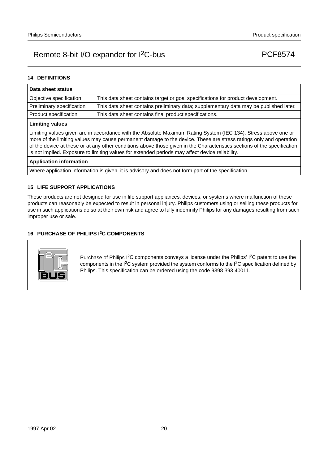## **14 DEFINITIONS**

| Data sheet status                                                                                                                                                                                                                                                                                                                                                                                                                                                  |                                                                                       |  |  |  |
|--------------------------------------------------------------------------------------------------------------------------------------------------------------------------------------------------------------------------------------------------------------------------------------------------------------------------------------------------------------------------------------------------------------------------------------------------------------------|---------------------------------------------------------------------------------------|--|--|--|
| Objective specification                                                                                                                                                                                                                                                                                                                                                                                                                                            | This data sheet contains target or goal specifications for product development.       |  |  |  |
| Preliminary specification                                                                                                                                                                                                                                                                                                                                                                                                                                          | This data sheet contains preliminary data; supplementary data may be published later. |  |  |  |
| Product specification                                                                                                                                                                                                                                                                                                                                                                                                                                              | This data sheet contains final product specifications.                                |  |  |  |
| <b>Limiting values</b>                                                                                                                                                                                                                                                                                                                                                                                                                                             |                                                                                       |  |  |  |
| Limiting values given are in accordance with the Absolute Maximum Rating System (IEC 134). Stress above one or<br>more of the limiting values may cause permanent damage to the device. These are stress ratings only and operation<br>of the device at these or at any other conditions above those given in the Characteristics sections of the specification<br>is not implied. Exposure to limiting values for extended periods may affect device reliability. |                                                                                       |  |  |  |
| <b>Application information</b>                                                                                                                                                                                                                                                                                                                                                                                                                                     |                                                                                       |  |  |  |
| Where application information is given, it is advisory and does not form part of the specification.                                                                                                                                                                                                                                                                                                                                                                |                                                                                       |  |  |  |

### **15 LIFE SUPPORT APPLICATIONS**

These products are not designed for use in life support appliances, devices, or systems where malfunction of these products can reasonably be expected to result in personal injury. Philips customers using or selling these products for use in such applications do so at their own risk and agree to fully indemnify Philips for any damages resulting from such improper use or sale.

## **16 PURCHASE OF PHILIPS I2C COMPONENTS**



Purchase of Philips I<sup>2</sup>C components conveys a license under the Philips' I<sup>2</sup>C patent to use the components in the I2C system provided the system conforms to the I2C specification defined by Philips. This specification can be ordered using the code 9398 393 40011.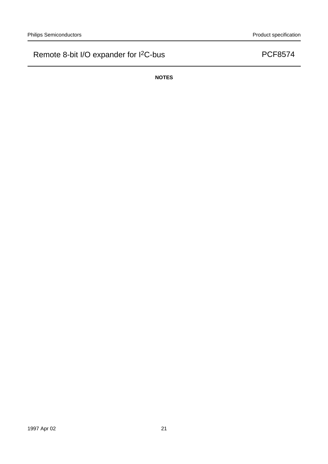**NOTES**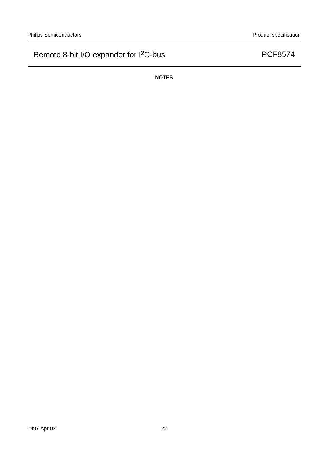**NOTES**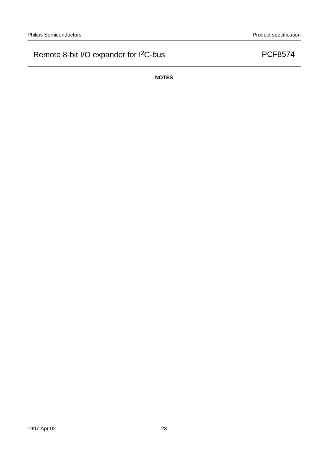**NOTES**